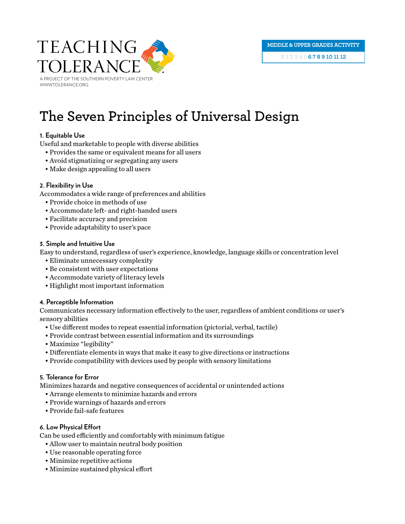

# **The Seven Principles of Universal Design**

# **1. Equitable Use**

Useful and marketable to people with diverse abilities

- Provides the same or equivalent means for all users
- Avoid stigmatizing or segregating any users
- Make design appealing to all users

# **2. Flexibility in Use**

Accommodates a wide range of preferences and abilities

- Provide choice in methods of use
- Accommodate left- and right-handed users
- Facilitate accuracy and precision
- Provide adaptability to user's pace

# **3. Simple and Intuitive Use**

Easy to understand, regardless of user's experience, knowledge, language skills or concentration level

- Eliminate unnecessary complexity
- Be consistent with user expectations
- Accommodate variety of literacy levels
- Highlight most important information

# **4. Perceptible Information**

Communicates necessary information effectively to the user, regardless of ambient conditions or user's sensory abilities

- Use different modes to repeat essential information (pictorial, verbal, tactile)
- Provide contrast between essential information and its surroundings
- Maximize "legibility"
- Differentiate elements in ways that make it easy to give directions or instructions
- Provide compatibility with devices used by people with sensory limitations

# **5. Tolerance for Error**

Minimizes hazards and negative consequences of accidental or unintended actions

- Arrange elements to minimize hazards and errors
- Provide warnings of hazards and errors
- Provide fail-safe features

#### **6. Low Physical Effort**

Can be used efficiently and comfortably with minimum fatigue

- Allow user to maintain neutral body position
- Use reasonable operating force
- Minimize repetitive actions
- Minimize sustained physical effort